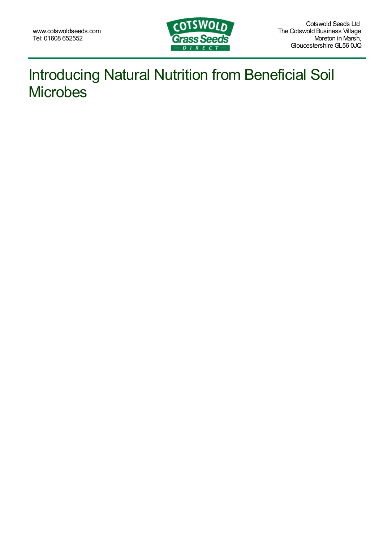

## Introducing Natural Nutrition from Beneficial Soil **Microbes**